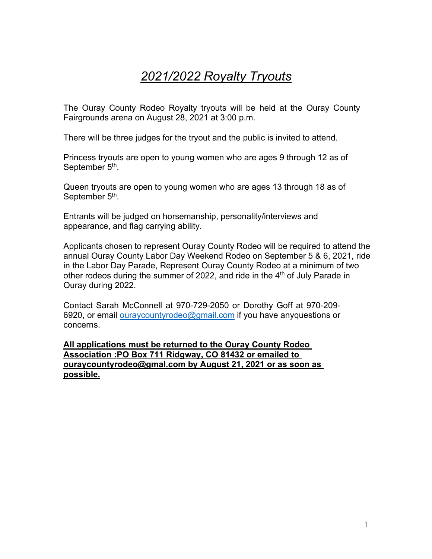# *2021/2022 Royalty Tryouts*

The Ouray County Rodeo Royalty tryouts will be held at the Ouray County Fairgrounds arena on August 28, 2021 at 3:00 p.m.

There will be three judges for the tryout and the public is invited to attend.

Princess tryouts are open to young women who are ages 9 through 12 as of September 5<sup>th</sup>.

Queen tryouts are open to young women who are ages 13 through 18 as of September 5<sup>th</sup>.

Entrants will be judged on horsemanship, personality/interviews and appearance, and flag carrying ability.

Applicants chosen to represent Ouray County Rodeo will be required to attend the annual Ouray County Labor Day Weekend Rodeo on September 5 & 6, 2021, ride in the Labor Day Parade, Represent Ouray County Rodeo at a minimum of two other rodeos during the summer of 2022, and ride in the 4<sup>th</sup> of July Parade in Ouray during 2022.

Contact Sarah McConnell at 970-729-2050 or Dorothy Goff at 970-209- 6920, or email ouraycountyrodeo@gmail.com if you have anyquestions or concerns.

**All applications must be returned to the Ouray County Rodeo Association :PO Box 711 Ridgway, CO 81432 or emailed to ouraycountyrodeo@gmal.com by August 21, 2021 or as soon as possible.**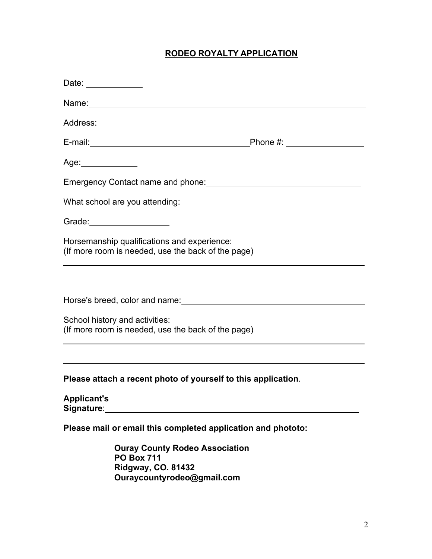# **RODEO ROYALTY APPLICATION**

| Date: _____________                                                                                                                                                                                                                                                                                                    |
|------------------------------------------------------------------------------------------------------------------------------------------------------------------------------------------------------------------------------------------------------------------------------------------------------------------------|
|                                                                                                                                                                                                                                                                                                                        |
|                                                                                                                                                                                                                                                                                                                        |
|                                                                                                                                                                                                                                                                                                                        |
| Age:______________                                                                                                                                                                                                                                                                                                     |
|                                                                                                                                                                                                                                                                                                                        |
|                                                                                                                                                                                                                                                                                                                        |
| Grade: ____________________                                                                                                                                                                                                                                                                                            |
| Horsemanship qualifications and experience:<br>(If more room is needed, use the back of the page)                                                                                                                                                                                                                      |
| Horse's breed, color and name: North and the state of the state of the state of the state of the state of the state of the state of the state of the state of the state of the state of the state of the state of the state of<br>School history and activities:<br>(If more room is needed, use the back of the page) |
| Please attach a recent photo of yourself to this application.<br><b>Applicant's</b><br>Signature:                                                                                                                                                                                                                      |
| Please mail or email this completed application and phototo:                                                                                                                                                                                                                                                           |
| <b>Ouray County Rodeo Association</b><br><b>PO Box 711</b><br><b>Ridgway, CO. 81432</b><br>Ouraycountyrodeo@gmail.com                                                                                                                                                                                                  |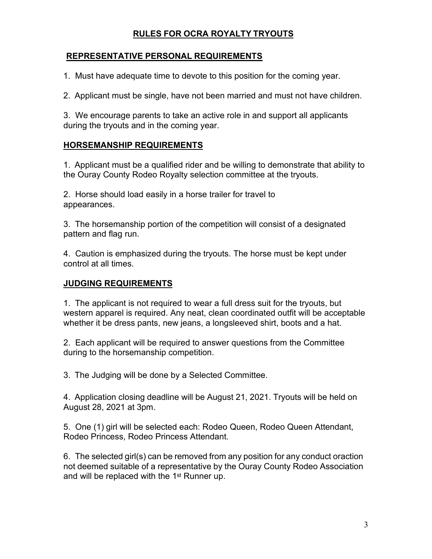# **RULES FOR OCRA ROYALTY TRYOUTS**

#### **REPRESENTATIVE PERSONAL REQUIREMENTS**

1. Must have adequate time to devote to this position for the coming year.

2. Applicant must be single, have not been married and must not have children.

3. We encourage parents to take an active role in and support all applicants during the tryouts and in the coming year.

# **HORSEMANSHIP REQUIREMENTS**

1. Applicant must be a qualified rider and be willing to demonstrate that ability to the Ouray County Rodeo Royalty selection committee at the tryouts.

2. Horse should load easily in a horse trailer for travel to appearances.

3. The horsemanship portion of the competition will consist of a designated pattern and flag run.

4. Caution is emphasized during the tryouts. The horse must be kept under control at all times.

# **JUDGING REQUIREMENTS**

1. The applicant is not required to wear a full dress suit for the tryouts, but western apparel is required. Any neat, clean coordinated outfit will be acceptable whether it be dress pants, new jeans, a longsleeved shirt, boots and a hat.

2. Each applicant will be required to answer questions from the Committee during to the horsemanship competition.

3. The Judging will be done by a Selected Committee.

4. Application closing deadline will be August 21, 2021. Tryouts will be held on August 28, 2021 at 3pm.

5. One (1) girl will be selected each: Rodeo Queen, Rodeo Queen Attendant, Rodeo Princess, Rodeo Princess Attendant.

6. The selected girl(s) can be removed from any position for any conduct oraction not deemed suitable of a representative by the Ouray County Rodeo Association and will be replaced with the 1st Runner up.